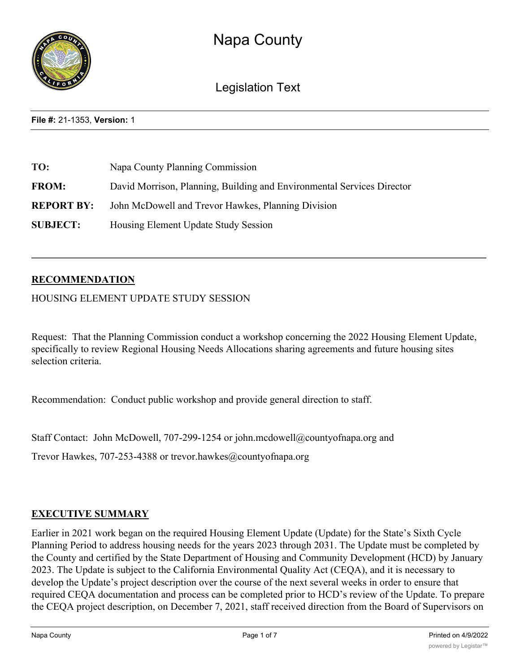

# Napa County

Legislation Text

**File #:** 21-1353, **Version:** 1

| TO:               | Napa County Planning Commission                                        |
|-------------------|------------------------------------------------------------------------|
| <b>FROM:</b>      | David Morrison, Planning, Building and Environmental Services Director |
| <b>REPORT BY:</b> | John McDowell and Trevor Hawkes, Planning Division                     |
| <b>SUBJECT:</b>   | Housing Element Update Study Session                                   |

## **RECOMMENDATION**

HOUSING ELEMENT UPDATE STUDY SESSION

Request: That the Planning Commission conduct a workshop concerning the 2022 Housing Element Update, specifically to review Regional Housing Needs Allocations sharing agreements and future housing sites selection criteria.

Recommendation: Conduct public workshop and provide general direction to staff.

Staff Contact: John McDowell, 707-299-1254 or john.mcdowell@countyofnapa.org and

Trevor Hawkes, 707-253-4388 or trevor.hawkes@countyofnapa.org

## **EXECUTIVE SUMMARY**

Earlier in 2021 work began on the required Housing Element Update (Update) for the State's Sixth Cycle Planning Period to address housing needs for the years 2023 through 2031. The Update must be completed by the County and certified by the State Department of Housing and Community Development (HCD) by January 2023. The Update is subject to the California Environmental Quality Act (CEQA), and it is necessary to develop the Update's project description over the course of the next several weeks in order to ensure that required CEQA documentation and process can be completed prior to HCD's review of the Update. To prepare the CEQA project description, on December 7, 2021, staff received direction from the Board of Supervisors on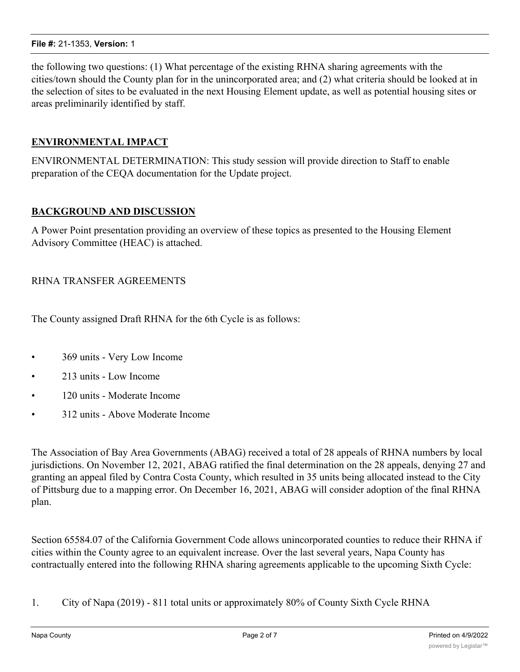the following two questions: (1) What percentage of the existing RHNA sharing agreements with the cities/town should the County plan for in the unincorporated area; and (2) what criteria should be looked at in the selection of sites to be evaluated in the next Housing Element update, as well as potential housing sites or areas preliminarily identified by staff.

# **ENVIRONMENTAL IMPACT**

ENVIRONMENTAL DETERMINATION: This study session will provide direction to Staff to enable preparation of the CEQA documentation for the Update project.

# **BACKGROUND AND DISCUSSION**

A Power Point presentation providing an overview of these topics as presented to the Housing Element Advisory Committee (HEAC) is attached.

RHNA TRANSFER AGREEMENTS

The County assigned Draft RHNA for the 6th Cycle is as follows:

- 369 units Very Low Income
- 213 units Low Income
- 120 units Moderate Income
- 312 units Above Moderate Income

The Association of Bay Area Governments (ABAG) received a total of 28 appeals of RHNA numbers by local jurisdictions. On November 12, 2021, ABAG ratified the final determination on the 28 appeals, denying 27 and granting an appeal filed by Contra Costa County, which resulted in 35 units being allocated instead to the City of Pittsburg due to a mapping error. On December 16, 2021, ABAG will consider adoption of the final RHNA plan.

Section 65584.07 of the California Government Code allows unincorporated counties to reduce their RHNA if cities within the County agree to an equivalent increase. Over the last several years, Napa County has contractually entered into the following RHNA sharing agreements applicable to the upcoming Sixth Cycle:

1. City of Napa (2019) - 811 total units or approximately 80% of County Sixth Cycle RHNA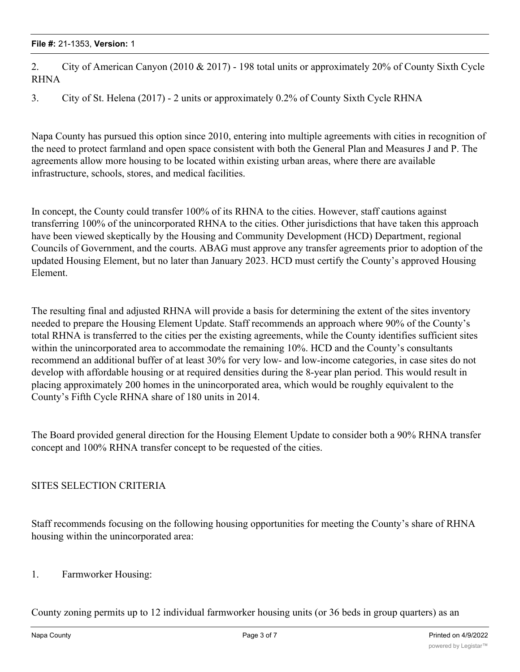2. City of American Canyon (2010 & 2017) - 198 total units or approximately 20% of County Sixth Cycle RHNA

3. City of St. Helena (2017) - 2 units or approximately 0.2% of County Sixth Cycle RHNA

Napa County has pursued this option since 2010, entering into multiple agreements with cities in recognition of the need to protect farmland and open space consistent with both the General Plan and Measures J and P. The agreements allow more housing to be located within existing urban areas, where there are available infrastructure, schools, stores, and medical facilities.

In concept, the County could transfer 100% of its RHNA to the cities. However, staff cautions against transferring 100% of the unincorporated RHNA to the cities. Other jurisdictions that have taken this approach have been viewed skeptically by the Housing and Community Development (HCD) Department, regional Councils of Government, and the courts. ABAG must approve any transfer agreements prior to adoption of the updated Housing Element, but no later than January 2023. HCD must certify the County's approved Housing Element.

The resulting final and adjusted RHNA will provide a basis for determining the extent of the sites inventory needed to prepare the Housing Element Update. Staff recommends an approach where 90% of the County's total RHNA is transferred to the cities per the existing agreements, while the County identifies sufficient sites within the unincorporated area to accommodate the remaining 10%. HCD and the County's consultants recommend an additional buffer of at least 30% for very low- and low-income categories, in case sites do not develop with affordable housing or at required densities during the 8-year plan period. This would result in placing approximately 200 homes in the unincorporated area, which would be roughly equivalent to the County's Fifth Cycle RHNA share of 180 units in 2014.

The Board provided general direction for the Housing Element Update to consider both a 90% RHNA transfer concept and 100% RHNA transfer concept to be requested of the cities.

## SITES SELECTION CRITERIA

Staff recommends focusing on the following housing opportunities for meeting the County's share of RHNA housing within the unincorporated area:

## 1. Farmworker Housing:

County zoning permits up to 12 individual farmworker housing units (or 36 beds in group quarters) as an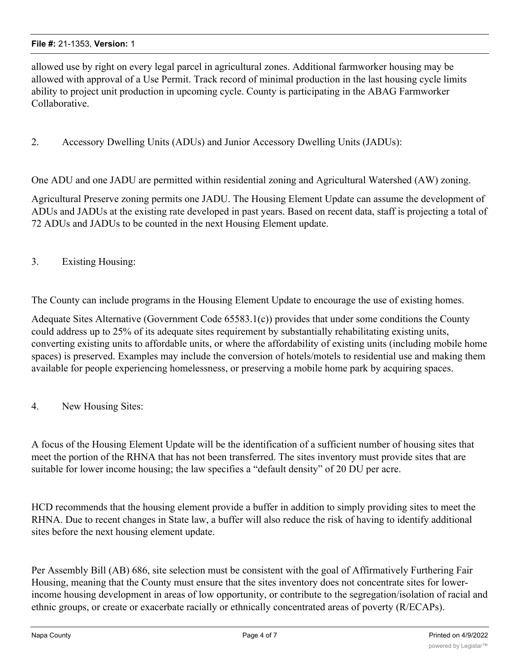#### **File #:** 21-1353, **Version:** 1

allowed use by right on every legal parcel in agricultural zones. Additional farmworker housing may be allowed with approval of a Use Permit. Track record of minimal production in the last housing cycle limits ability to project unit production in upcoming cycle. County is participating in the ABAG Farmworker Collaborative.

2. Accessory Dwelling Units (ADUs) and Junior Accessory Dwelling Units (JADUs):

One ADU and one JADU are permitted within residential zoning and Agricultural Watershed (AW) zoning.

Agricultural Preserve zoning permits one JADU. The Housing Element Update can assume the development of ADUs and JADUs at the existing rate developed in past years. Based on recent data, staff is projecting a total of 72 ADUs and JADUs to be counted in the next Housing Element update.

3. Existing Housing:

The County can include programs in the Housing Element Update to encourage the use of existing homes.

Adequate Sites Alternative (Government Code 65583.1(c)) provides that under some conditions the County could address up to 25% of its adequate sites requirement by substantially rehabilitating existing units, converting existing units to affordable units, or where the affordability of existing units (including mobile home spaces) is preserved. Examples may include the conversion of hotels/motels to residential use and making them available for people experiencing homelessness, or preserving a mobile home park by acquiring spaces.

4. New Housing Sites:

A focus of the Housing Element Update will be the identification of a sufficient number of housing sites that meet the portion of the RHNA that has not been transferred. The sites inventory must provide sites that are suitable for lower income housing; the law specifies a "default density" of 20 DU per acre.

HCD recommends that the housing element provide a buffer in addition to simply providing sites to meet the RHNA. Due to recent changes in State law, a buffer will also reduce the risk of having to identify additional sites before the next housing element update.

Per Assembly Bill (AB) 686, site selection must be consistent with the goal of Affirmatively Furthering Fair Housing, meaning that the County must ensure that the sites inventory does not concentrate sites for lowerincome housing development in areas of low opportunity, or contribute to the segregation/isolation of racial and ethnic groups, or create or exacerbate racially or ethnically concentrated areas of poverty (R/ECAPs).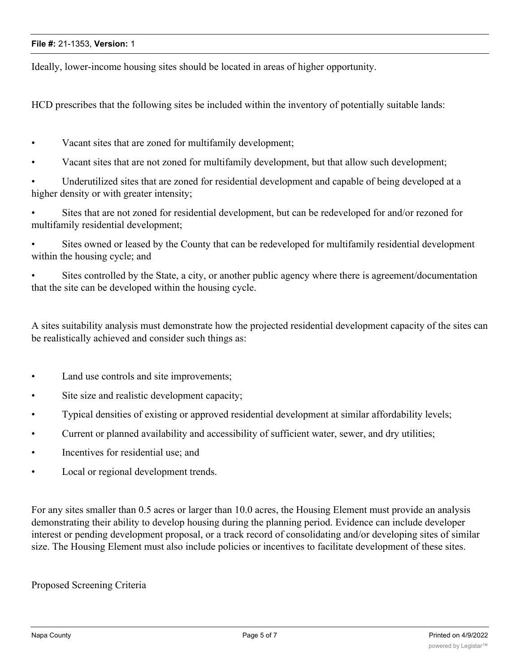#### **File #:** 21-1353, **Version:** 1

Ideally, lower-income housing sites should be located in areas of higher opportunity.

HCD prescribes that the following sites be included within the inventory of potentially suitable lands:

- Vacant sites that are zoned for multifamily development;
- Vacant sites that are not zoned for multifamily development, but that allow such development;
- Underutilized sites that are zoned for residential development and capable of being developed at a higher density or with greater intensity;
- Sites that are not zoned for residential development, but can be redeveloped for and/or rezoned for multifamily residential development;
- Sites owned or leased by the County that can be redeveloped for multifamily residential development within the housing cycle; and
- Sites controlled by the State, a city, or another public agency where there is agreement/documentation that the site can be developed within the housing cycle.

A sites suitability analysis must demonstrate how the projected residential development capacity of the sites can be realistically achieved and consider such things as:

- Land use controls and site improvements;
- Site size and realistic development capacity;
- Typical densities of existing or approved residential development at similar affordability levels;
- Current or planned availability and accessibility of sufficient water, sewer, and dry utilities;
- Incentives for residential use; and
- Local or regional development trends.

For any sites smaller than 0.5 acres or larger than 10.0 acres, the Housing Element must provide an analysis demonstrating their ability to develop housing during the planning period. Evidence can include developer interest or pending development proposal, or a track record of consolidating and/or developing sites of similar size. The Housing Element must also include policies or incentives to facilitate development of these sites.

#### Proposed Screening Criteria